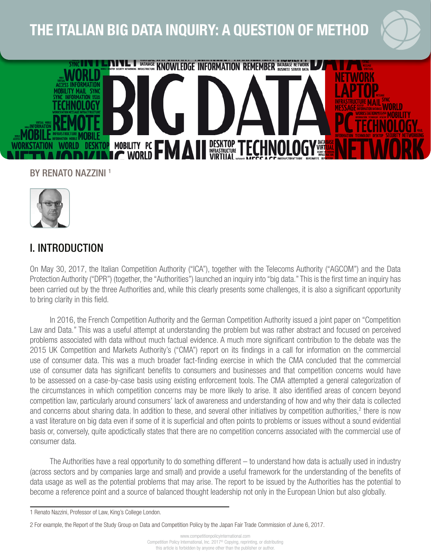

#### BY RENATO NAZZINI<sup>1</sup>



# I. INTRODUCTION

On May 30, 2017, the Italian Competition Authority ("ICA"), together with the Telecoms Authority ("AGCOM") and the Data Protection Authority ("DPR") (together, the "Authorities") launched an inquiry into "big data." This is the first time an inquiry has been carried out by the three Authorities and, while this clearly presents some challenges, it is also a significant opportunity to bring clarity in this field.

In 2016, the French Competition Authority and the German Competition Authority issued a joint paper on "Competition Law and Data." This was a useful attempt at understanding the problem but was rather abstract and focused on perceived problems associated with data without much factual evidence. A much more significant contribution to the debate was the 2015 UK Competition and Markets Authority's ("CMA") report on its findings in a call for information on the commercial use of consumer data. This was a much broader fact-finding exercise in which the CMA concluded that the commercial use of consumer data has significant benefits to consumers and businesses and that competition concerns would have to be assessed on a case-by-case basis using existing enforcement tools. The CMA attempted a general categorization of the circumstances in which competition concerns may be more likely to arise. It also identified areas of concern beyond competition law, particularly around consumers' lack of awareness and understanding of how and why their data is collected and concerns about sharing data. In addition to these, and several other initiatives by competition authorities,<sup>2</sup> there is now a vast literature on big data even if some of it is superficial and often points to problems or issues without a sound evidential basis or, conversely, quite apodictically states that there are no competition concerns associated with the commercial use of consumer data.

The Authorities have a real opportunity to do something different – to understand how data is actually used in industry (across sectors and by companies large and small) and provide a useful framework for the understanding of the benefits of data usage as well as the potential problems that may arise. The report to be issued by the Authorities has the potential to become a reference point and a source of balanced thought leadership not only in the European Union but also globally.

<sup>1</sup> Renato Nazzini, Professor of Law, King's College London.

<sup>2</sup> For example, the Report of the Study Group on Data and Competition Policy by the Japan Fair Trade Commission of June 6, 2017.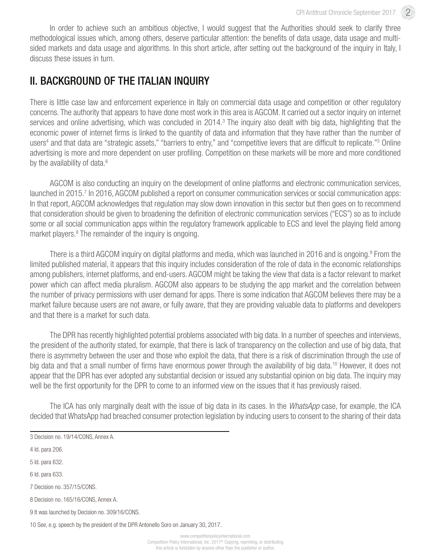2

In order to achieve such an ambitious objective, I would suggest that the Authorities should seek to clarify three methodological issues which, among others, deserve particular attention: the benefits of data usage, data usage and multisided markets and data usage and algorithms. In this short article, after setting out the background of the inquiry in Italy, I discuss these issues in turn.

#### II. BACKGROUND OF THE ITALIAN INQUIRY

There is little case law and enforcement experience in Italy on commercial data usage and competition or other regulatory concerns. The authority that appears to have done most work in this area is AGCOM. It carried out a sector inquiry on internet services and online advertising, which was concluded in 2014.<sup>3</sup> The inquiry also dealt with big data, highlighting that the economic power of internet firms is linked to the quantity of data and information that they have rather than the number of users<sup>4</sup> and that data are "strategic assets," "barriers to entry," and "competitive levers that are difficult to replicate."<sup>5</sup> Online advertising is more and more dependent on user profiling. Competition on these markets will be more and more conditioned by the availability of data.<sup>6</sup>

AGCOM is also conducting an inquiry on the development of online platforms and electronic communication services, launched in 2015.<sup>7</sup> In 2016, AGCOM published a report on consumer communication services or social communication apps: In that report, AGCOM acknowledges that regulation may slow down innovation in this sector but then goes on to recommend that consideration should be given to broadening the definition of electronic communication services ("ECS") so as to include some or all social communication apps within the regulatory framework applicable to ECS and level the playing field among market players.<sup>8</sup> The remainder of the inquiry is ongoing.

There is a third AGCOM inquiry on digital platforms and media, which was launched in 2016 and is ongoing.<sup>9</sup> From the limited published material, it appears that this inquiry includes consideration of the role of data in the economic relationships among publishers, internet platforms, and end-users. AGCOM might be taking the view that data is a factor relevant to market power which can affect media pluralism. AGCOM also appears to be studying the app market and the correlation between the number of privacy permissions with user demand for apps. There is some indication that AGCOM believes there may be a market failure because users are not aware, or fully aware, that they are providing valuable data to platforms and developers and that there is a market for such data.

The DPR has recently highlighted potential problems associated with big data. In a number of speeches and interviews, the president of the authority stated, for example, that there is lack of transparency on the collection and use of big data, that there is asymmetry between the user and those who exploit the data, that there is a risk of discrimination through the use of big data and that a small number of firms have enormous power through the availability of big data.10 However, it does not appear that the DPR has ever adopted any substantial decision or issued any substantial opinion on big data. The inquiry may well be the first opportunity for the DPR to come to an informed view on the issues that it has previously raised.

The ICA has only marginally dealt with the issue of big data in its cases. In the *WhatsApp* case, for example, the ICA decided that WhatsApp had breached consumer protection legislation by inducing users to consent to the sharing of their data

- 5 Id. para 632.
- 6 Id. para 633.

7 Decision no. 357/15/CONS.

8 Decision no. 165/16/CONS, Annex A.

9 It was launched by Decision no. 309/16/CONS.

10 See, e.g. speech by the president of the DPR Antonello Soro on January 30, 2017.

<sup>3</sup> Decision no. 19/14/CONS, Annex A.

<sup>4</sup> Id. para 206.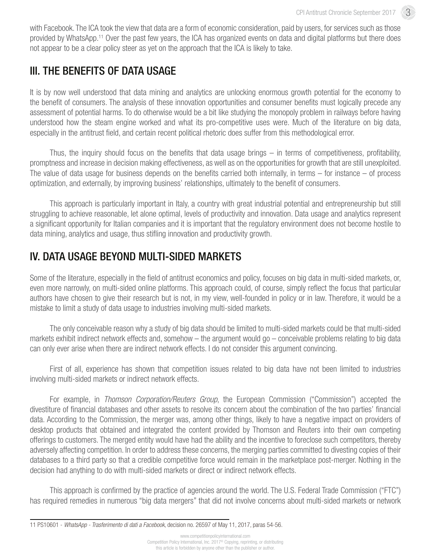with Facebook. The ICA took the view that data are a form of economic consideration, paid by users, for services such as those provided by WhatsApp.11 Over the past few years, the ICA has organized events on data and digital platforms but there does not appear to be a clear policy steer as yet on the approach that the ICA is likely to take.

# III. THE BENEFITS OF DATA USAGE

It is by now well understood that data mining and analytics are unlocking enormous growth potential for the economy to the benefit of consumers. The analysis of these innovation opportunities and consumer benefits must logically precede any assessment of potential harms. To do otherwise would be a bit like studying the monopoly problem in railways before having understood how the steam engine worked and what its pro-competitive uses were. Much of the literature on big data, especially in the antitrust field, and certain recent political rhetoric does suffer from this methodological error.

Thus, the inquiry should focus on the benefits that data usage brings – in terms of competitiveness, profitability, promptness and increase in decision making effectiveness, as well as on the opportunities for growth that are still unexploited. The value of data usage for business depends on the benefits carried both internally, in terms – for instance – of process optimization, and externally, by improving business' relationships, ultimately to the benefit of consumers.

This approach is particularly important in Italy, a country with great industrial potential and entrepreneurship but still struggling to achieve reasonable, let alone optimal, levels of productivity and innovation. Data usage and analytics represent a significant opportunity for Italian companies and it is important that the regulatory environment does not become hostile to data mining, analytics and usage, thus stifling innovation and productivity growth.

# IV. DATA USAGE BEYOND MULTI-SIDED MARKETS

Some of the literature, especially in the field of antitrust economics and policy, focuses on big data in multi-sided markets, or, even more narrowly, on multi-sided online platforms. This approach could, of course, simply reflect the focus that particular authors have chosen to give their research but is not, in my view, well-founded in policy or in law. Therefore, it would be a mistake to limit a study of data usage to industries involving multi-sided markets.

The only conceivable reason why a study of big data should be limited to multi-sided markets could be that multi-sided markets exhibit indirect network effects and, somehow – the argument would go – conceivable problems relating to big data can only ever arise when there are indirect network effects. I do not consider this argument convincing.

First of all, experience has shown that competition issues related to big data have not been limited to industries involving multi-sided markets or indirect network effects.

For example, in *Thomson Corporation/Reuters Group*, the European Commission ("Commission") accepted the divestiture of financial databases and other assets to resolve its concern about the combination of the two parties' financial data. According to the Commission, the merger was, among other things, likely to have a negative impact on providers of desktop products that obtained and integrated the content provided by Thomson and Reuters into their own competing offerings to customers. The merged entity would have had the ability and the incentive to foreclose such competitors, thereby adversely affecting competition. In order to address these concerns, the merging parties committed to divesting copies of their databases to a third party so that a credible competitive force would remain in the marketplace post-merger. Nothing in the decision had anything to do with multi-sided markets or direct or indirect network effects.

This approach is confirmed by the practice of agencies around the world. The U.S. Federal Trade Commission ("FTC") has required remedies in numerous "big data mergers" that did not involve concerns about multi-sided markets or network

<sup>11</sup> PS10601 - *WhatsApp - Trasferimento di dati a Facebook*, decision no. 26597 of May 11, 2017, paras 54-56.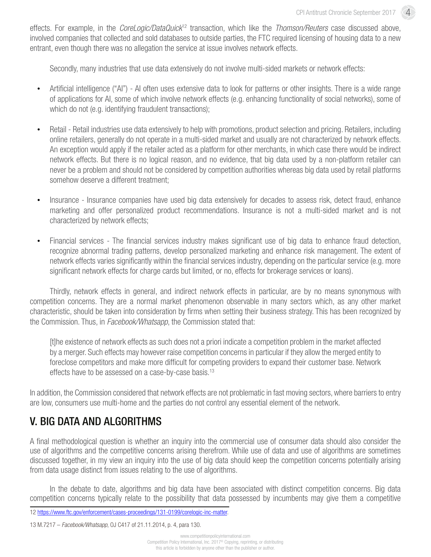4

effects. For example, in the *CoreLogic/DataQuick*12 transaction, which like the *Thomson/Reuters* case discussed above, involved companies that collected and sold databases to outside parties, the FTC required licensing of housing data to a new entrant, even though there was no allegation the service at issue involves network effects.

Secondly, many industries that use data extensively do not involve multi-sided markets or network effects:

- Artificial intelligence ("AI") AI often uses extensive data to look for patterns or other insights. There is a wide range of applications for AI, some of which involve network effects (e.g. enhancing functionality of social networks), some of which do not (e.g. identifying fraudulent transactions);
- Retail Retail industries use data extensively to help with promotions, product selection and pricing. Retailers, including online retailers, generally do not operate in a multi-sided market and usually are not characterized by network effects. An exception would apply if the retailer acted as a platform for other merchants, in which case there would be indirect network effects. But there is no logical reason, and no evidence, that big data used by a non-platform retailer can never be a problem and should not be considered by competition authorities whereas big data used by retail platforms somehow deserve a different treatment;
- Insurance Insurance companies have used big data extensively for decades to assess risk, detect fraud, enhance marketing and offer personalized product recommendations. Insurance is not a multi-sided market and is not characterized by network effects;
- Financial services The financial services industry makes significant use of big data to enhance fraud detection, recognize abnormal trading patterns, develop personalized marketing and enhance risk management. The extent of network effects varies significantly within the financial services industry, depending on the particular service (e.g. more significant network effects for charge cards but limited, or no, effects for brokerage services or loans).

Thirdly, network effects in general, and indirect network effects in particular, are by no means synonymous with competition concerns. They are a normal market phenomenon observable in many sectors which, as any other market characteristic, should be taken into consideration by firms when setting their business strategy. This has been recognized by the Commission. Thus, in *Facebook/Whatsapp*, the Commission stated that:

[t]he existence of network effects as such does not a priori indicate a competition problem in the market affected by a merger. Such effects may however raise competition concerns in particular if they allow the merged entity to foreclose competitors and make more difficult for competing providers to expand their customer base. Network effects have to be assessed on a case-by-case basis.13

In addition, the Commission considered that network effects are not problematic in fast moving sectors, where barriers to entry are low, consumers use multi-home and the parties do not control any essential element of the network.

#### V. BIG DATA AND ALGORITHMS

A final methodological question is whether an inquiry into the commercial use of consumer data should also consider the use of algorithms and the competitive concerns arising therefrom. While use of data and use of algorithms are sometimes discussed together, in my view an inquiry into the use of big data should keep the competition concerns potentially arising from data usage distinct from issues relating to the use of algorithms.

In the debate to date, algorithms and big data have been associated with distinct competition concerns. Big data competition concerns typically relate to the possibility that data possessed by incumbents may give them a competitive

<sup>12</sup> [https://www.ftc.gov/enforcement/cases-proceedings/131-0199/corelogic-inc-matter.](https://www.ftc.gov/enforcement/cases-proceedings/131-0199/corelogic-inc-matter)

<sup>13</sup> M.7217 – *Facebook/Whatsapp*, OJ C417 of 21.11.2014, p. 4, para 130.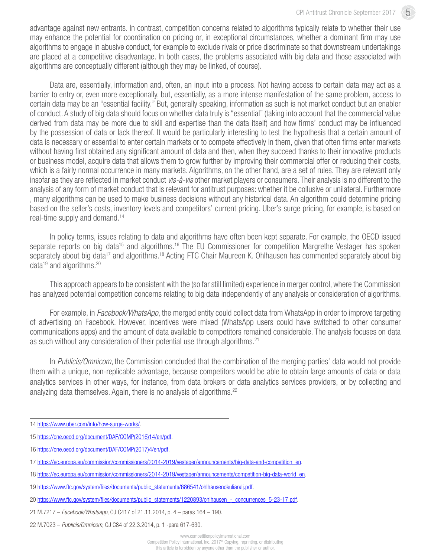advantage against new entrants. In contrast, competition concerns related to algorithms typically relate to whether their use may enhance the potential for coordination on pricing or, in exceptional circumstances, whether a dominant firm may use algorithms to engage in abusive conduct, for example to exclude rivals or price discriminate so that downstream undertakings are placed at a competitive disadvantage. In both cases, the problems associated with big data and those associated with algorithms are conceptually different (although they may be linked, of course).

Data are, essentially, information and, often, an input into a process. Not having access to certain data may act as a barrier to entry or, even more exceptionally, but, essentially, as a more intense manifestation of the same problem, access to certain data may be an "essential facility." But, generally speaking, information as such is not market conduct but an enabler of conduct. A study of big data should focus on whether data truly is "essential" (taking into account that the commercial value derived from data may be more due to skill and expertise than the data itself) and how firms' conduct may be influenced by the possession of data or lack thereof. It would be particularly interesting to test the hypothesis that a certain amount of data is necessary or essential to enter certain markets or to compete effectively in them, given that often firms enter markets without having first obtained any significant amount of data and then, when they succeed thanks to their innovative products or business model, acquire data that allows them to grow further by improving their commercial offer or reducing their costs, which is a fairly normal occurrence in many markets. Algorithms, on the other hand, are a set of rules. They are relevant only insofar as they are reflected in market conduct *vis-à-vis* other market players or consumers. Their analysis is no different to the analysis of any form of market conduct that is relevant for antitrust purposes: whether it be collusive or unilateral. Furthermore , many algorithms can be used to make business decisions without any historical data. An algorithm could determine pricing based on the seller's costs, inventory levels and competitors' current pricing. Uber's surge pricing, for example, is based on real-time supply and demand.14

In policy terms, issues relating to data and algorithms have often been kept separate. For example, the OECD issued separate reports on big data<sup>15</sup> and algorithms.<sup>16</sup> The EU Commissioner for competition Margrethe Vestager has spoken separately about big data<sup>17</sup> and algorithms.<sup>18</sup> Acting FTC Chair Maureen K. Ohlhausen has commented separately about big data<sup>19</sup> and algorithms.<sup>20</sup>

This approach appears to be consistent with the (so far still limited) experience in merger control, where the Commission has analyzed potential competition concerns relating to big data independently of any analysis or consideration of algorithms.

For example, in *Facebook/WhatsApp*, the merged entity could collect data from WhatsApp in order to improve targeting of advertising on Facebook. However, incentives were mixed (WhatsApp users could have switched to other consumer communications apps) and the amount of data available to competitors remained considerable. The analysis focuses on data as such without any consideration of their potential use through algorithms.<sup>21</sup>

In *Publicis/Omnicom*, the Commission concluded that the combination of the merging parties' data would not provide them with a unique, non-replicable advantage, because competitors would be able to obtain large amounts of data or data analytics services in other ways, for instance, from data brokers or data analytics services providers, or by collecting and analyzing data themselves. Again, there is no analysis of algorithms.<sup>22</sup>

<sup>14</sup> [https://www.uber.com/info/how-surge-works/.](https://www.uber.com/info/how-surge-works/)

<sup>15</sup> [https://one.oecd.org/document/DAF/COMP\(2016\)14/en/pdf](https://one.oecd.org/document/DAF/COMP(2016)14/en/pdf).

<sup>16</sup> [https://one.oecd.org/document/DAF/COMP\(2017\)4/en/pdf](https://one.oecd.org/document/DAF/COMP(2017)4/en/pdf).

<sup>17</sup> [https://ec.europa.eu/commission/commissioners/2014-2019/vestager/announcements/big-data-and-competition\\_en.](https://ec.europa.eu/commission/commissioners/2014-2019/vestager/announcements/big-data-and-competition_en)

<sup>18</sup> [https://ec.europa.eu/commission/commissioners/2014-2019/vestager/announcements/competition-big-data-world\\_en](https://ec.europa.eu/commission/commissioners/2014-2019/vestager/announcements/competition-big-data-world_en).

<sup>19</sup> [https://www.ftc.gov/system/files/documents/public\\_statements/686541/ohlhausenokuliaralj.pdf.](https://www.ftc.gov/system/files/documents/public_statements/686541/ohlhausenokuliaralj.pdf)

<sup>20</sup> [https://www.ftc.gov/system/files/documents/public\\_statements/1220893/ohlhausen\\_-\\_concurrences\\_5-23-17.pdf.](https://www.ftc.gov/system/files/documents/public_statements/1220893/ohlhausen_-_concurrences_5-23-17.pdf)

<sup>21</sup> M.7217 – *Facebook/Whatsapp*, OJ C417 of 21.11.2014, p. 4 – paras 164 – 190.

<sup>22</sup> M.7023 – *Publicis/Omnicom*, OJ C84 of 22.3.2014, p. 1 -para 617-630.